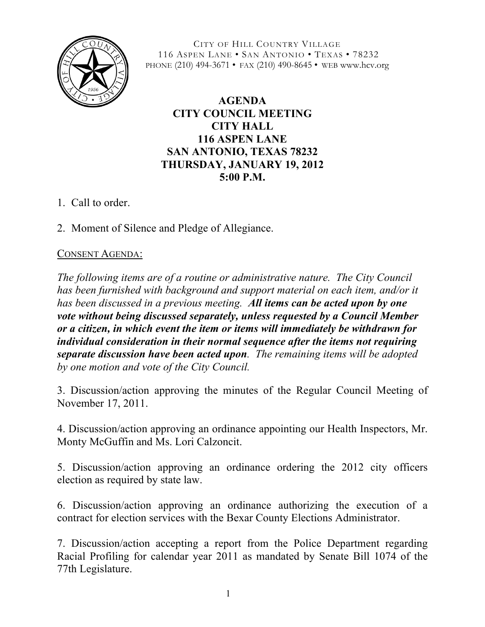

CITY OF HILL COUNTRY VILLAGE 116 ASPEN LANE • SAN ANTONIO • TEXAS • 78232 PHONE (210) 494-3671 • FAX (210) 490-8645 • WEB www.hcv.org

## **AGENDA CITY COUNCIL MEETING CITY HALL 116 ASPEN LANE SAN ANTONIO, TEXAS 78232 THURSDAY, JANUARY 19, 2012 5:00 P.M.**

- 1. Call to order.
- 2. Moment of Silence and Pledge of Allegiance.

## CONSENT AGENDA:

*The following items are of a routine or administrative nature. The City Council has been furnished with background and support material on each item, and/or it has been discussed in a previous meeting. All items can be acted upon by one vote without being discussed separately, unless requested by a Council Member or a citizen, in which event the item or items will immediately be withdrawn for individual consideration in their normal sequence after the items not requiring separate discussion have been acted upon. The remaining items will be adopted by one motion and vote of the City Council.*

3. Discussion/action approving the minutes of the Regular Council Meeting of November 17, 2011.

4. Discussion/action approving an ordinance appointing our Health Inspectors, Mr. Monty McGuffin and Ms. Lori Calzoncit.

5. Discussion/action approving an ordinance ordering the 2012 city officers election as required by state law.

6. Discussion/action approving an ordinance authorizing the execution of a contract for election services with the Bexar County Elections Administrator.

7. Discussion/action accepting a report from the Police Department regarding Racial Profiling for calendar year 2011 as mandated by Senate Bill 1074 of the 77th Legislature.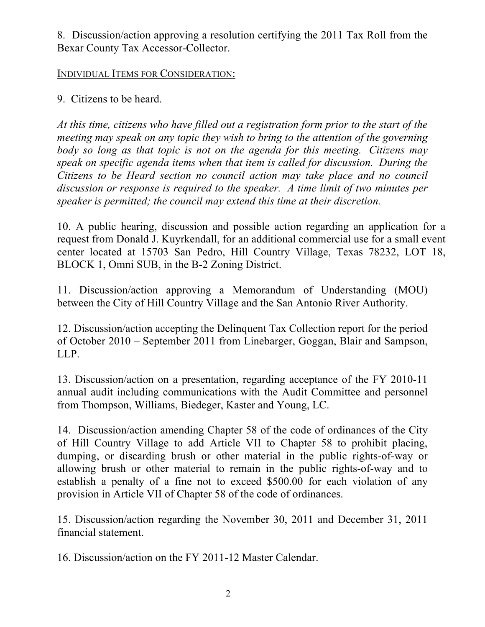8. Discussion/action approving a resolution certifying the 2011 Tax Roll from the Bexar County Tax Accessor-Collector.

## INDIVIDUAL ITEMS FOR CONSIDERATION:

9. Citizens to be heard.

*At this time, citizens who have filled out a registration form prior to the start of the meeting may speak on any topic they wish to bring to the attention of the governing body so long as that topic is not on the agenda for this meeting. Citizens may speak on specific agenda items when that item is called for discussion. During the Citizens to be Heard section no council action may take place and no council discussion or response is required to the speaker. A time limit of two minutes per speaker is permitted; the council may extend this time at their discretion.*

10. A public hearing, discussion and possible action regarding an application for a request from Donald J. Kuyrkendall, for an additional commercial use for a small event center located at 15703 San Pedro, Hill Country Village, Texas 78232, LOT 18, BLOCK 1, Omni SUB, in the B-2 Zoning District.

11. Discussion/action approving a Memorandum of Understanding (MOU) between the City of Hill Country Village and the San Antonio River Authority.

12. Discussion/action accepting the Delinquent Tax Collection report for the period of October 2010 – September 2011 from Linebarger, Goggan, Blair and Sampson, LLP.

13. Discussion/action on a presentation, regarding acceptance of the FY 2010-11 annual audit including communications with the Audit Committee and personnel from Thompson, Williams, Biedeger, Kaster and Young, LC.

14. Discussion/action amending Chapter 58 of the code of ordinances of the City of Hill Country Village to add Article VII to Chapter 58 to prohibit placing, dumping, or discarding brush or other material in the public rights-of-way or allowing brush or other material to remain in the public rights-of-way and to establish a penalty of a fine not to exceed \$500.00 for each violation of any provision in Article VII of Chapter 58 of the code of ordinances.

15. Discussion/action regarding the November 30, 2011 and December 31, 2011 financial statement.

16. Discussion/action on the FY 2011-12 Master Calendar.